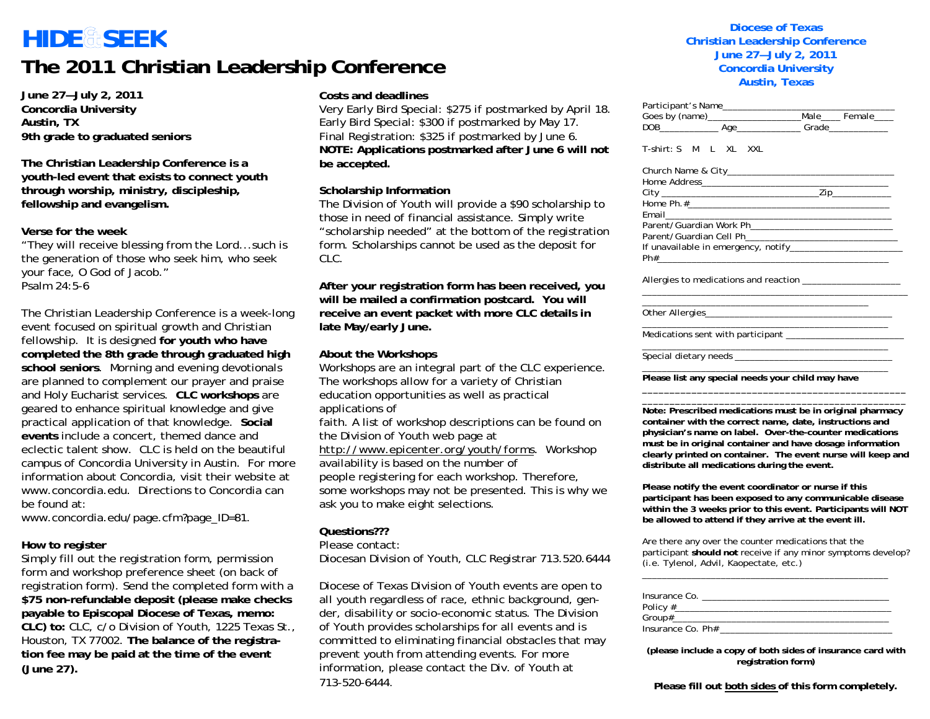### **HIDE SEE K The 2011 Christian Leadership Conference**

**June 27—July 2, 2011 Concordia University Austin, TX 9th grade to graduated seniors** 

**The Christian Leadership Conference is a youth-led event that exists to connect youth through worship, ministry, discipleship, fellowship and evangelism.** 

**Verse for the week** 

"They will receive blessing from the Lord...such is the generation of those who seek him, who seek your face, O God of Jacob." Psalm 24:5-6

The Christian Leadership Conference is a week-long event focused on spiritual growth and Christian fellowship. It is designed **for youth who have completed the 8th grade through graduated high school seniors**. Morning and evening devotionals are planned to complement our prayer and praise and Holy Eucharist services. **CLC workshops** are geared to enhance spiritual knowledge and give practical application of that knowledge. **Social events** include a concert, themed dance and eclectic talent show. CLC is held on the beautiful campus of Concordia University in Austin. For more information about Concordia, visit their website at www.concordia.edu. Directions to Concordia can be found at:

www.concordia.edu/page.cfm?page\_ID=81.

#### **How to register**

Simply fill out the registration form, permission form and workshop preference sheet (on back of registration form). Send the completed form with a **\$75 non-refundable deposit (please make checks payable to Episcopal Diocese of Texas, memo: CLC) to:** CLC, c/o Division of Youth, 1225 Texas St., Houston, TX 77002. **The balance of the registration fee may be paid at the time of the event (June 27).**

#### **Costs and deadlines**

Very Early Bird Special: \$275 if postmarked by April 18. Early Bird Special: \$300 if postmarked by May 17. Final Registration: \$325 if postmarked by June 6. **NOTE: Applications postmarked after June 6 will not be accepted.** 

#### **Scholarship Information**

The Division of Youth will provide a \$90 scholarship to those in need of financial assistance. Simply write "scholarship needed" at the bottom of the registration form. Scholarships cannot be used as the deposit for CLC.

**After your registration form has been received, you will be mailed a confirmation postcard. You will receive an event packet with more CLC details in late May/early June.** 

#### **About the Workshops**

Workshops are an integral part of the CLC experience. The workshops allow for a variety of Christian education opportunities as well as practical applications of

faith. A list of workshop descriptions can be found on the Division of Youth web page at

*http://www.epicenter.org/youth/forms*. Workshop

availability is based on the number of people registering for each workshop. Therefore, some workshops may not be presented. This is why we ask you to make eight selections.

#### **Questions???**

#### Please contact:

Diocesan Division of Youth, CLC Registrar 713.520.6444

Diocese of Texas Division of Youth events are open to *all* youth regardless of race, ethnic background, gender, disability or socio-economic status. The Division of Youth provides scholarships for all events and is committed to eliminating financial obstacles that may prevent youth from attending events. For more information, please contact the Div. of Youth at 713-520-6444.

#### **Diocese of TexasChristian Leadership Conference June 27—July 2, 2011 Concordia University Austin, Texas**

Participant's Name\_\_\_\_\_\_\_\_\_\_\_\_\_\_\_\_\_\_\_\_\_\_\_\_\_\_\_\_\_\_\_\_\_\_\_

| r ar truiparit 3 ivani <del>c</del> ___________________                                                                                                                                                                                                                                                                                                     |                                                                                           |
|-------------------------------------------------------------------------------------------------------------------------------------------------------------------------------------------------------------------------------------------------------------------------------------------------------------------------------------------------------------|-------------------------------------------------------------------------------------------|
|                                                                                                                                                                                                                                                                                                                                                             |                                                                                           |
|                                                                                                                                                                                                                                                                                                                                                             |                                                                                           |
| T-shirt: S M L XL XXL                                                                                                                                                                                                                                                                                                                                       |                                                                                           |
|                                                                                                                                                                                                                                                                                                                                                             |                                                                                           |
|                                                                                                                                                                                                                                                                                                                                                             |                                                                                           |
|                                                                                                                                                                                                                                                                                                                                                             |                                                                                           |
|                                                                                                                                                                                                                                                                                                                                                             |                                                                                           |
|                                                                                                                                                                                                                                                                                                                                                             | the control of the control of the control of the control of the control of the control of |
|                                                                                                                                                                                                                                                                                                                                                             |                                                                                           |
|                                                                                                                                                                                                                                                                                                                                                             |                                                                                           |
|                                                                                                                                                                                                                                                                                                                                                             |                                                                                           |
|                                                                                                                                                                                                                                                                                                                                                             |                                                                                           |
| Allergies to medications and reaction _____________________                                                                                                                                                                                                                                                                                                 |                                                                                           |
|                                                                                                                                                                                                                                                                                                                                                             |                                                                                           |
|                                                                                                                                                                                                                                                                                                                                                             |                                                                                           |
|                                                                                                                                                                                                                                                                                                                                                             |                                                                                           |
| Please list any special needs your child may have                                                                                                                                                                                                                                                                                                           |                                                                                           |
| Note: Prescribed medications must be in original pharmacy<br>container with the correct name, date, instructions and<br>physician's name on label. Over-the-counter medications<br>must be in original container and have dosage information<br>clearly printed on container. The event nurse will keep and<br>distribute all medications during the event. |                                                                                           |
| Please notify the event coordinator or nurse if this<br>participant has been exposed to any communicable disease<br>within the 3 weeks prior to this event. Participants will NOT<br>be allowed to attend if they arrive at the event ill.                                                                                                                  |                                                                                           |

Are there any over the counter medications that the participant **should not** receive if any minor symptoms develop? (i.e. Tylenol, Advil, Kaopectate, etc.)

| Insurance Co.     |  |  |
|-------------------|--|--|
|                   |  |  |
|                   |  |  |
| Insurance Co. Ph# |  |  |

\_\_\_\_\_\_\_\_\_\_\_\_\_\_\_\_\_\_\_\_\_\_\_\_\_\_\_\_\_\_\_\_\_\_\_\_\_\_\_\_\_\_\_\_\_\_\_\_\_\_

**(please include a copy of both sides of insurance card with registration form)** 

**Please fill out both sides of this form completely.**